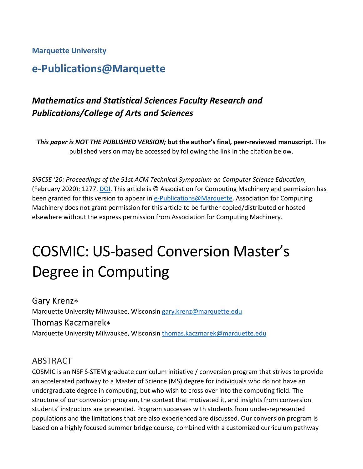#### **Marquette University**

# **e-Publications@Marquette**

# *Mathematics and Statistical Sciences Faculty Research and Publications/College of Arts and Sciences*

*This paper is NOT THE PUBLISHED VERSION;* **but the author's final, peer-reviewed manuscript.** The published version may be accessed by following the link in the citation below.

*SIGCSE '20: Proceedings of the 51st ACM Technical Symposium on Computer Science Education*, (February 2020): 1277. [DOI.](https://doi.org/10.1145/3328778.3372620) This article is © Association for Computing Machinery and permission has been granted for this version to appear in [e-Publications@Marquette.](http://epublications.marquette.edu/) Association for Computing Machinery does not grant permission for this article to be further copied/distributed or hosted elsewhere without the express permission from Association for Computing Machinery.

# COSMIC: US-based Conversion Master's Degree in Computing

Gary Krenz∗ Marquette University Milwaukee, Wisconsin [gary.krenz@marquette.edu](mailto:gary.krenz@marquette.edu) Thomas Kaczmarek∗ Marquette University Milwaukee, Wisconsin [thomas.kaczmarek@marquette.edu](mailto:thomas.kaczmarek@marquette.edu)

#### ABSTRACT

COSMIC is an NSF S-STEM graduate curriculum initiative / conversion program that strives to provide an accelerated pathway to a Master of Science (MS) degree for individuals who do not have an undergraduate degree in computing, but who wish to cross over into the computing field. The structure of our conversion program, the context that motivated it, and insights from conversion students' instructors are presented. Program successes with students from under-represented populations and the limitations that are also experienced are discussed. Our conversion program is based on a highly focused summer bridge course, combined with a customized curriculum pathway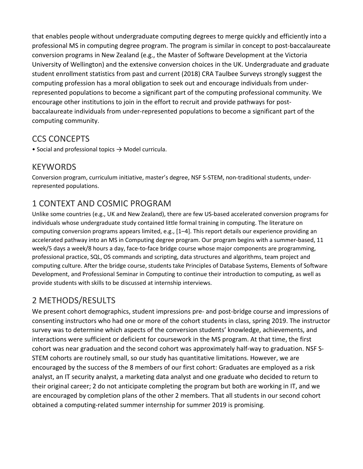that enables people without undergraduate computing degrees to merge quickly and efficiently into a professional MS in computing degree program. The program is similar in concept to post-baccalaureate conversion programs in New Zealand (e.g., the Master of Software Development at the Victoria University of Wellington) and the extensive conversion choices in the UK. Undergraduate and graduate student enrollment statistics from past and current (2018) CRA Taulbee Surveys strongly suggest the computing profession has a moral obligation to seek out and encourage individuals from underrepresented populations to become a significant part of the computing professional community. We encourage other institutions to join in the effort to recruit and provide pathways for postbaccalaureate individuals from under-represented populations to become a significant part of the computing community.

## CCS CONCEPTS

• Social and professional topics  $\rightarrow$  Model curricula.

## KEYWORDS

Conversion program, curriculum initiative, master's degree, NSF S-STEM, non-traditional students, underrepresented populations.

# 1 CONTEXT AND COSMIC PROGRAM

Unlike some countries (e.g., UK and New Zealand), there are few US-based accelerated conversion programs for individuals whose undergraduate study contained little formal training in computing. The literature on computing conversion programs appears limited, e.g., [1–4]. This report details our experience providing an accelerated pathway into an MS in Computing degree program. Our program begins with a summer-based, 11 week/5 days a week/8 hours a day, face-to-face bridge course whose major components are programming, professional practice, SQL, OS commands and scripting, data structures and algorithms, team project and computing culture. After the bridge course, students take Principles of Database Systems, Elements of Software Development, and Professional Seminar in Computing to continue their introduction to computing, as well as provide students with skills to be discussed at internship interviews.

# 2 METHODS/RESULTS

We present cohort demographics, student impressions pre- and post-bridge course and impressions of consenting instructors who had one or more of the cohort students in class, spring 2019. The instructor survey was to determine which aspects of the conversion students' knowledge, achievements, and interactions were sufficient or deficient for coursework in the MS program. At that time, the first cohort was near graduation and the second cohort was approximately half-way to graduation. NSF S-STEM cohorts are routinely small, so our study has quantitative limitations. However, we are encouraged by the success of the 8 members of our first cohort: Graduates are employed as a risk analyst, an IT security analyst, a marketing data analyst and one graduate who decided to return to their original career; 2 do not anticipate completing the program but both are working in IT, and we are encouraged by completion plans of the other 2 members. That all students in our second cohort obtained a computing-related summer internship for summer 2019 is promising.